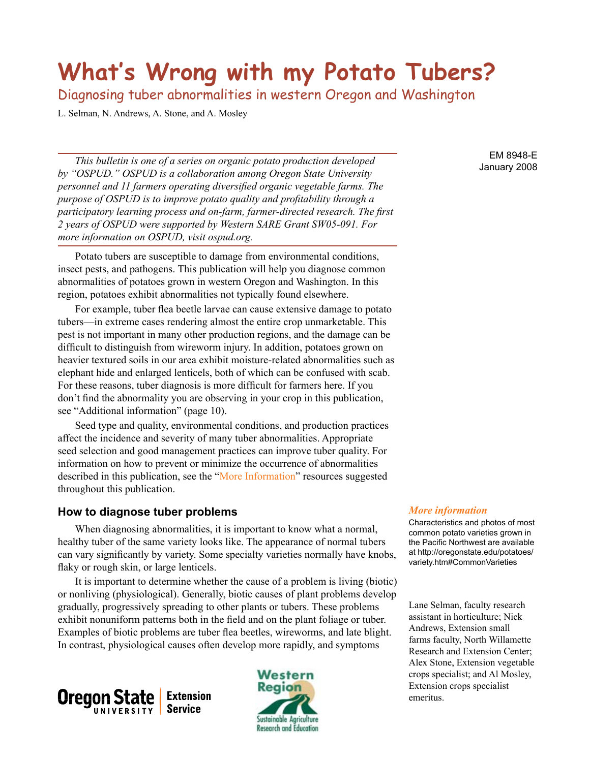# **What's Wrong with my Potato Tubers?**

Diagnosing tuber abnormalities in western Oregon and Washington

L. Selman, N. Andrews, A. Stone, and A. Mosley

*This bulletin is one of a series on organic potato production developed by "OSPUD." OSPUD is a collaboration among Oregon State University personnel and 11 farmers operating diversified organic vegetable farms. The purpose of OSPUD is to improve potato quality and profitability through a participatory learning process and on-farm, farmer-directed research. The first 2 years of OSPUD were supported by Western SARE Grant SW05-091. For more information on OSPUD, visit ospud.org.*

Potato tubers are susceptible to damage from environmental conditions, insect pests, and pathogens. This publication will help you diagnose common abnormalities of potatoes grown in western Oregon and Washington. In this region, potatoes exhibit abnormalities not typically found elsewhere.

For example, tuber flea beetle larvae can cause extensive damage to potato tubers—in extreme cases rendering almost the entire crop unmarketable. This pest is not important in many other production regions, and the damage can be difficult to distinguish from wireworm injury. In addition, potatoes grown on heavier textured soils in our area exhibit moisture-related abnormalities such as elephant hide and enlarged lenticels, both of which can be confused with scab. For these reasons, tuber diagnosis is more difficult for farmers here. If you don't find the abnormality you are observing in your crop in this publication, see "Additional information" (page 10).

Seed type and quality, environmental conditions, and production practices affect the incidence and severity of many tuber abnormalities. Appropriate seed selection and good management practices can improve tuber quality. For information on how to prevent or minimize the occurrence of abnormalities described in this publication, see the "More Information" resources suggested throughout this publication.

#### **How to diagnose tuber problems**

When diagnosing abnormalities, it is important to know what a normal, healthy tuber of the same variety looks like. The appearance of normal tubers can vary significantly by variety. Some specialty varieties normally have knobs, flaky or rough skin, or large lenticels.

It is important to determine whether the cause of a problem is living (biotic) or nonliving (physiological). Generally, biotic causes of plant problems develop gradually, progressively spreading to other plants or tubers. These problems exhibit nonuniform patterns both in the field and on the plant foliage or tuber. Examples of biotic problems are tuber flea beetles, wireworms, and late blight. In contrast, physiological causes often develop more rapidly, and symptoms





#### EM 8948-E January 2008

#### *More information*

Characteristics and photos of most common potato varieties grown in the Pacific Northwest are available at http://oregonstate.edu/potatoes/ variety.htm#CommonVarieties

Lane Selman, faculty research assistant in horticulture; Nick Andrews, Extension small farms faculty, North Willamette Research and Extension Center; Alex Stone, Extension vegetable crops specialist; and Al Mosley, Extension crops specialist emeritus.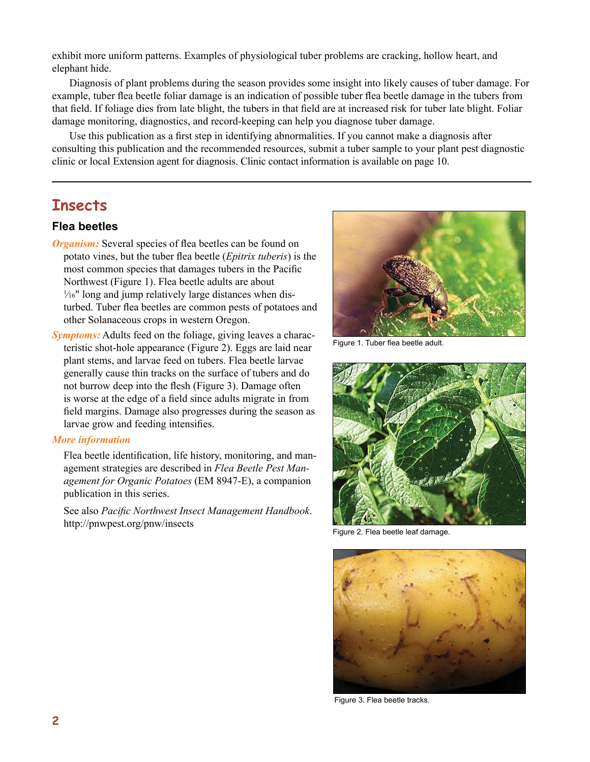exhibit more uniform patterns. Examples of physiological tuber problems are cracking, hollow heart, and elephant hide.

Diagnosis of plant problems during the season provides some insight into likely causes of tuber damage. For example, tuber flea beetle foliar damage is an indication of possible tuber flea beetle damage in the tubers from that field. If foliage dies from late blight, the tubers in that field are at increased risk for tuber late blight. Foliar damage monitoring, diagnostics, and record-keeping can help you diagnose tuber damage.

Use this publication as a first step in identifying abnormalities. If you cannot make a diagnosis after consulting this publication and the recommended resources, submit a tuber sample to your plant pest diagnostic clinic or local Extension agent for diagnosis. Clinic contact information is available on page 10.

# **Insects**

#### **Flea beetles**

- *Organism:* Several species of flea beetles can be found on potato vines, but the tuber flea beetle (*Epitrix tuberis*) is the most common species that damages tubers in the Pacific Northwest (Figure 1). Flea beetle adults are about 1 ⁄16" long and jump relatively large distances when disturbed. Tuber flea beetles are common pests of potatoes and other Solanaceous crops in western Oregon.
- *Symptoms:* Adults feed on the foliage, giving leaves a characteristic shot-hole appearance (Figure 2). Eggs are laid near plant stems, and larvae feed on tubers. Flea beetle larvae generally cause thin tracks on the surface of tubers and do not burrow deep into the flesh (Figure 3). Damage often is worse at the edge of a field since adults migrate in from field margins. Damage also progresses during the season as larvae grow and feeding intensifies.

#### *More information*

Flea beetle identification, life history, monitoring, and management strategies are described in *Flea Beetle Pest Management for Organic Potatoes* (EM 8947-E), a companion publication in this series.

See also *Pacific Northwest Insect Management Handbook*. http://pnwpest.org/pnw/insects



Figure 1. Tuber flea beetle adult.



Figure 2. Flea beetle leaf damage.



Figure 3. Flea beetle tracks.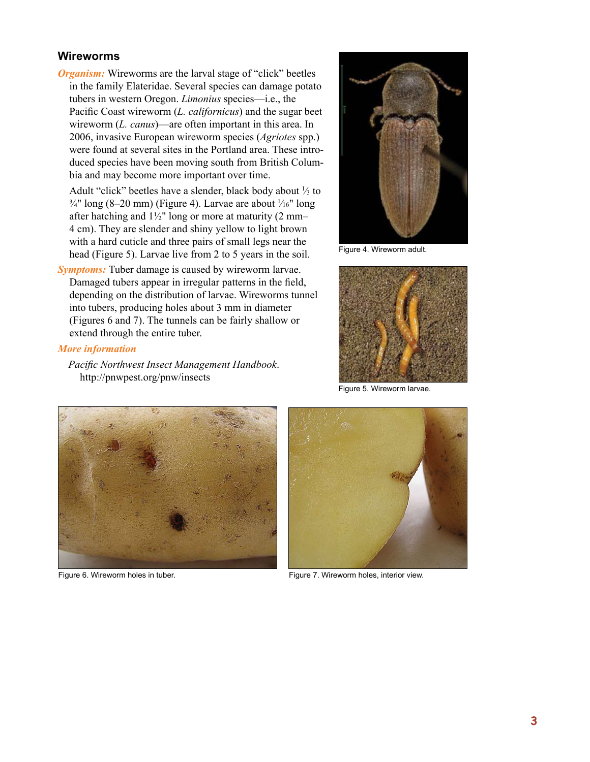#### **Wireworms**

*Organism:* Wireworms are the larval stage of "click" beetles in the family Elateridae. Several species can damage potato tubers in western Oregon. *Limonius* species—i.e., the Pacific Coast wireworm (*L. californicus*) and the sugar beet wireworm (*L. canus*)—are often important in this area. In 2006, invasive European wireworm species (*Agriotes* spp.) were found at several sites in the Portland area. These introduced species have been moving south from British Columbia and may become more important over time.

Adult "click" beetles have a slender, black body about  $\frac{1}{3}$  to  $\frac{3}{4}$ " long (8–20 mm) (Figure 4). Larvae are about  $\frac{1}{16}$ " long after hatching and  $1\frac{1}{2}$ " long or more at maturity (2 mm– 4 cm). They are slender and shiny yellow to light brown with a hard cuticle and three pairs of small legs near the head (Figure 5). Larvae live from 2 to 5 years in the soil.

*Symptoms:* Tuber damage is caused by wireworm larvae. Damaged tubers appear in irregular patterns in the field, depending on the distribution of larvae. Wireworms tunnel into tubers, producing holes about 3 mm in diameter (Figures 6 and 7). The tunnels can be fairly shallow or extend through the entire tuber.

#### *More information*

*Pacific Northwest Insect Management Handbook*. http://pnwpest.org/pnw/insects



Figure 4. Wireworm adult.



Figure 5. Wireworm larvae.





Figure 6. Wireworm holes in tuber. The state of the state of Figure 7. Wireworm holes, interior view.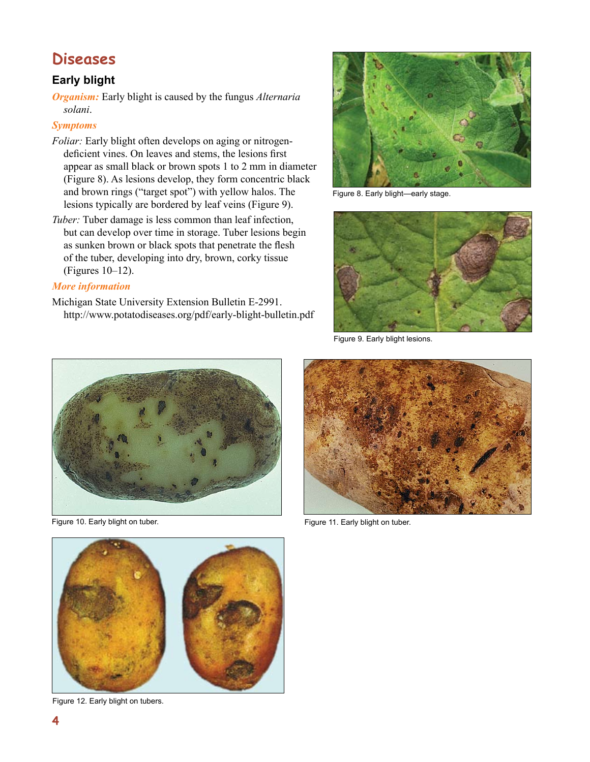# **Diseases**

# **Early blight**

*Organism:* Early blight is caused by the fungus *Alternaria solani*.

## *Symptoms*

- *Foliar:* Early blight often develops on aging or nitrogendeficient vines. On leaves and stems, the lesions first appear as small black or brown spots 1 to 2 mm in diameter (Figure 8). As lesions develop, they form concentric black and brown rings ("target spot") with yellow halos. The lesions typically are bordered by leaf veins (Figure 9).
- *Tuber:* Tuber damage is less common than leaf infection, but can develop over time in storage. Tuber lesions begin as sunken brown or black spots that penetrate the flesh of the tuber, developing into dry, brown, corky tissue (Figures 10–12).

#### *More information*

Michigan State University Extension Bulletin E-2991. http://www.potatodiseases.org/pdf/early-blight-bulletin.pdf



Figure 8. Early blight—early stage.



Figure 9. Early blight lesions.





Figure 10. Early blight on tuber. The state of the state of the Figure 11. Early blight on tuber.



Figure 12. Early blight on tubers.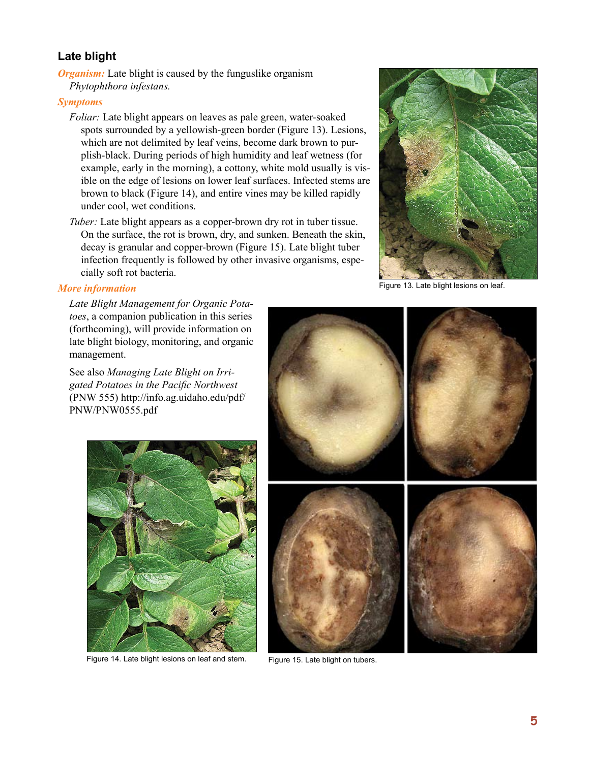# **Late blight**

*Organism:* Late blight is caused by the funguslike organism *Phytophthora infestans.*

#### *Symptoms*

*Foliar:* Late blight appears on leaves as pale green, water-soaked spots surrounded by a yellowish-green border (Figure 13). Lesions, which are not delimited by leaf veins, become dark brown to purplish-black. During periods of high humidity and leaf wetness (for example, early in the morning), a cottony, white mold usually is visible on the edge of lesions on lower leaf surfaces. Infected stems are brown to black (Figure 14), and entire vines may be killed rapidly under cool, wet conditions.

*Tuber:* Late blight appears as a copper-brown dry rot in tuber tissue. On the surface, the rot is brown, dry, and sunken. Beneath the skin, decay is granular and copper-brown (Figure 15). Late blight tuber infection frequently is followed by other invasive organisms, especially soft rot bacteria.



Figure 13. Late blight lesions on leaf.

#### *More information*

*Late Blight Management for Organic Potatoes*, a companion publication in this series (forthcoming), will provide information on late blight biology, monitoring, and organic management.

See also *Managing Late Blight on Irrigated Potatoes in the Pacific Northwest* (PNW 555) http://info.ag.uidaho.edu/pdf/ PNW/PNW0555.pdf



Figure 14. Late blight lesions on leaf and stem. Figure 15. Late blight on tubers.

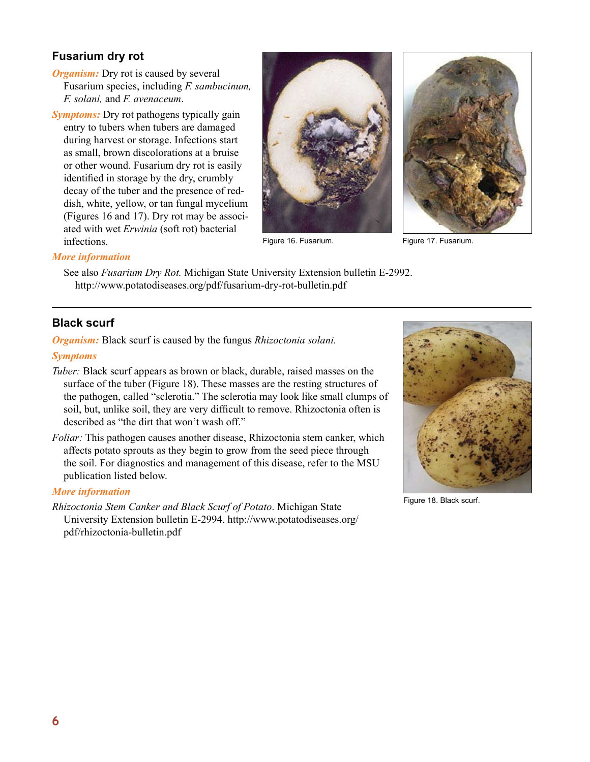# **Fusarium dry rot**

- *Organism:* Dry rot is caused by several Fusarium species, including *F. sambucinum, F. solani,* and *F. avenaceum*.
- *Symptoms:* Dry rot pathogens typically gain entry to tubers when tubers are damaged during harvest or storage. Infections start as small, brown discolorations at a bruise or other wound. Fusarium dry rot is easily identified in storage by the dry, crumbly decay of the tuber and the presence of reddish, white, yellow, or tan fungal mycelium (Figures 16 and 17). Dry rot may be associated with wet *Erwinia* (soft rot) bacterial infections.



Figure 16. Fusarium.



Figure 17. Fusarium.

#### *More information*

See also *Fusarium Dry Rot.* Michigan State University Extension bulletin E-2992. http://www.potatodiseases.org/pdf/fusarium-dry-rot-bulletin.pdf

# **Black scurf**

*Organism:* Black scurf is caused by the fungus *Rhizoctonia solani.*

#### *Symptoms*

- *Tuber:* Black scurf appears as brown or black, durable, raised masses on the surface of the tuber (Figure 18). These masses are the resting structures of the pathogen, called "sclerotia." The sclerotia may look like small clumps of soil, but, unlike soil, they are very difficult to remove. Rhizoctonia often is described as "the dirt that won't wash off."
- *Foliar:* This pathogen causes another disease, Rhizoctonia stem canker, which affects potato sprouts as they begin to grow from the seed piece through the soil. For diagnostics and management of this disease, refer to the MSU publication listed below.

#### *More information*

*Rhizoctonia Stem Canker and Black Scurf of Potato*. Michigan State University Extension bulletin E-2994. http://www.potatodiseases.org/ pdf/rhizoctonia-bulletin.pdf



Figure 18. Black scurf.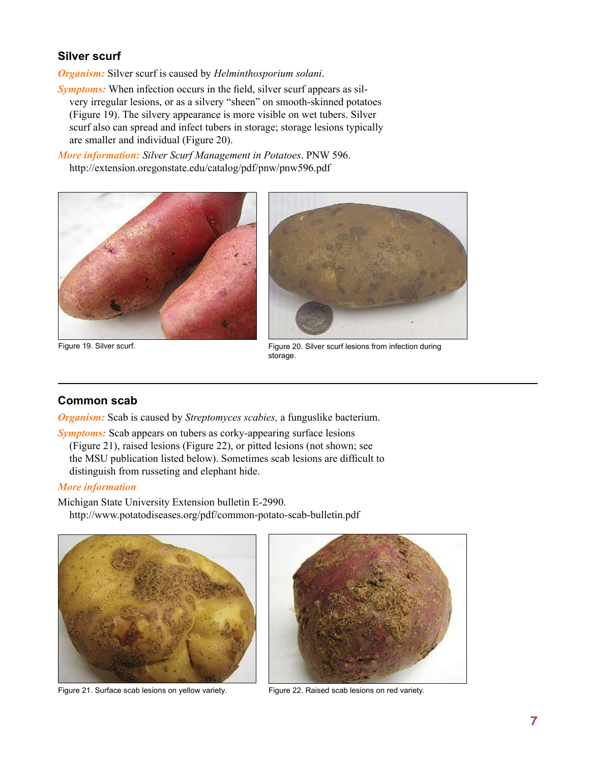# **Silver scurf**

*Organism:* Silver scurf is caused by *Helminthosporium solani*.

*Symptoms:* When infection occurs in the field, silver scurf appears as silvery irregular lesions, or as a silvery "sheen" on smooth-skinned potatoes (Figure 19). The silvery appearance is more visible on wet tubers. Silver scurf also can spread and infect tubers in storage; storage lesions typically are smaller and individual (Figure 20).

*More information: Silver Scurf Management in Potatoes*. PNW 596. http://extension.oregonstate.edu/catalog/pdf/pnw/pnw596.pdf





Figure 19. Silver scurf. Figure 20. Silver scurf lesions from infection during storage.

# **Common scab**

*Organism:* Scab is caused by *Streptomyces scabies,* a funguslike bacterium.

*Symptoms:* Scab appears on tubers as corky-appearing surface lesions (Figure 21), raised lesions (Figure 22), or pitted lesions (not shown; see the MSU publication listed below). Sometimes scab lesions are difficult to distinguish from russeting and elephant hide.

#### *More information*

Michigan State University Extension bulletin E-2990. http://www.potatodiseases.org/pdf/common-potato-scab-bulletin.pdf



Figure 21. Surface scab lesions on yellow variety. Figure 22. Raised scab lesions on red variety.

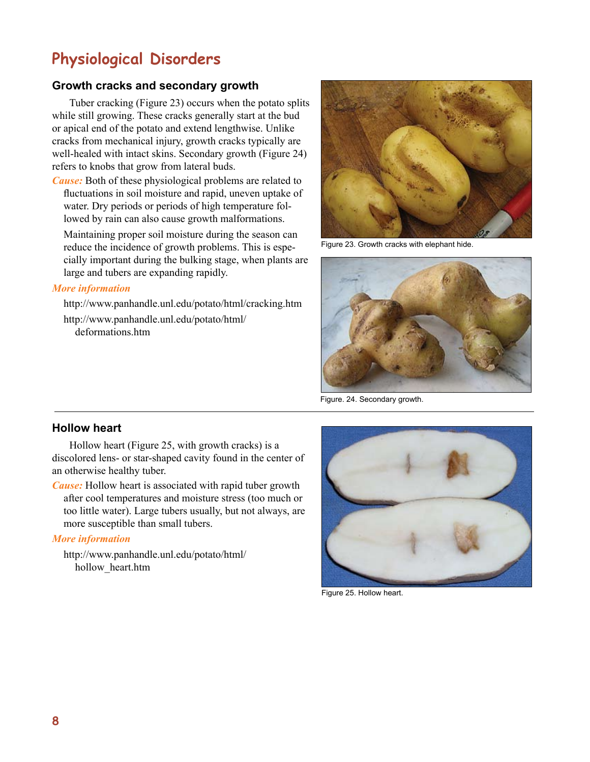# **Physiological Disorders**

# **Growth cracks and secondary growth**

Tuber cracking (Figure 23) occurs when the potato splits while still growing. These cracks generally start at the bud or apical end of the potato and extend lengthwise. Unlike cracks from mechanical injury, growth cracks typically are well-healed with intact skins. Secondary growth (Figure 24) refers to knobs that grow from lateral buds.

*Cause:* Both of these physiological problems are related to fluctuations in soil moisture and rapid, uneven uptake of water. Dry periods or periods of high temperature followed by rain can also cause growth malformations.

Maintaining proper soil moisture during the season can reduce the incidence of growth problems. This is especially important during the bulking stage, when plants are large and tubers are expanding rapidly.

#### *More information*

http://www.panhandle.unl.edu/potato/html/cracking.htm http://www.panhandle.unl.edu/potato/html/ deformations.htm



Figure 23. Growth cracks with elephant hide.



Figure. 24. Secondary growth.

#### **Hollow heart**

Hollow heart (Figure 25, with growth cracks) is a discolored lens- or star-shaped cavity found in the center of an otherwise healthy tuber.

*Cause:* Hollow heart is associated with rapid tuber growth after cool temperatures and moisture stress (too much or too little water). Large tubers usually, but not always, are more susceptible than small tubers.

#### *More information*

http://www.panhandle.unl.edu/potato/html/ hollow\_heart.htm



Figure 25. Hollow heart.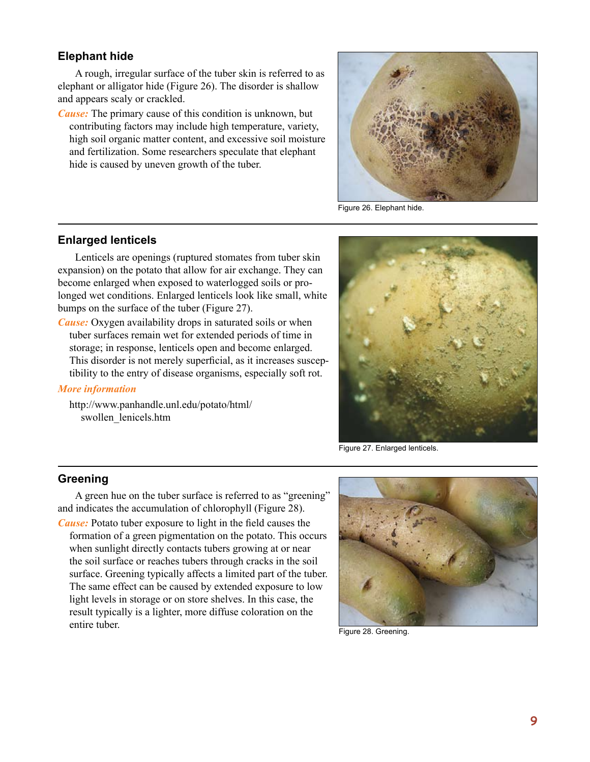#### **Elephant hide**

A rough, irregular surface of the tuber skin is referred to as elephant or alligator hide (Figure 26). The disorder is shallow and appears scaly or crackled.

*Cause:* The primary cause of this condition is unknown, but contributing factors may include high temperature, variety, high soil organic matter content, and excessive soil moisture and fertilization. Some researchers speculate that elephant hide is caused by uneven growth of the tuber.



Figure 26. Elephant hide.

#### **Enlarged lenticels**

Lenticels are openings (ruptured stomates from tuber skin expansion) on the potato that allow for air exchange. They can become enlarged when exposed to waterlogged soils or prolonged wet conditions. Enlarged lenticels look like small, white bumps on the surface of the tuber (Figure 27).

*Cause:* Oxygen availability drops in saturated soils or when tuber surfaces remain wet for extended periods of time in storage; in response, lenticels open and become enlarged. This disorder is not merely superficial, as it increases susceptibility to the entry of disease organisms, especially soft rot.

#### *More information*

http://www.panhandle.unl.edu/potato/html/ swollen\_lenicels.htm



Figure 27. Enlarged lenticels.

## **Greening**

A green hue on the tuber surface is referred to as "greening" and indicates the accumulation of chlorophyll (Figure 28).

*Cause:* Potato tuber exposure to light in the field causes the formation of a green pigmentation on the potato. This occurs when sunlight directly contacts tubers growing at or near the soil surface or reaches tubers through cracks in the soil surface. Greening typically affects a limited part of the tuber. The same effect can be caused by extended exposure to low light levels in storage or on store shelves. In this case, the result typically is a lighter, more diffuse coloration on the entire tuber.



Figure 28. Greening.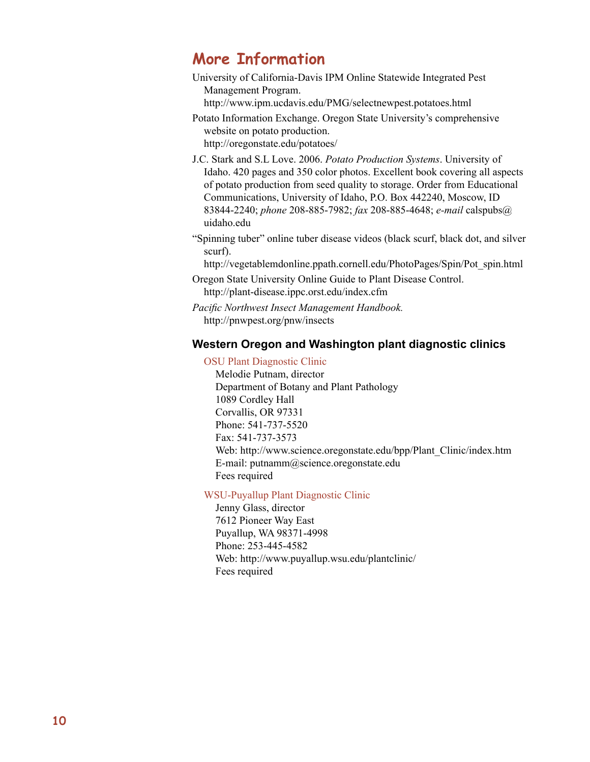# **More Information**

University of California-Davis IPM Online Statewide Integrated Pest Management Program.

http://www.ipm.ucdavis.edu/PMG/selectnewpest.potatoes.html

- Potato Information Exchange. Oregon State University's comprehensive website on potato production. http://oregonstate.edu/potatoes/
- J.C. Stark and S.L Love. 2006. *Potato Production Systems*. University of Idaho. 420 pages and 350 color photos. Excellent book covering all aspects of potato production from seed quality to storage. Order from Educational Communications, University of Idaho, P.O. Box 442240, Moscow, ID 83844-2240; *phone* 208-885-7982; *fax* 208-885-4648; *e-mail* calspubs@ uidaho.edu
- "Spinning tuber" online tuber disease videos (black scurf, black dot, and silver scurf).

http://vegetablemdonline.ppath.cornell.edu/PhotoPages/Spin/Pot\_spin.html

- Oregon State University Online Guide to Plant Disease Control. http://plant-disease.ippc.orst.edu/index.cfm
- *Pacific Northwest Insect Management Handbook.*  http://pnwpest.org/pnw/insects

# **Western Oregon and Washington plant diagnostic clinics**

OSU Plant Diagnostic Clinic

Melodie Putnam, director Department of Botany and Plant Pathology 1089 Cordley Hall Corvallis, OR 97331 Phone: 541-737-5520 Fax: 541-737-3573 Web: http://www.science.oregonstate.edu/bpp/Plant\_Clinic/index.htm E-mail: putnamm@science.oregonstate.edu Fees required

# WSU-Puyallup Plant Diagnostic Clinic

Jenny Glass, director 7612 Pioneer Way East Puyallup, WA 98371-4998 Phone: 253-445-4582 Web: http://www.puyallup.wsu.edu/plantclinic/ Fees required